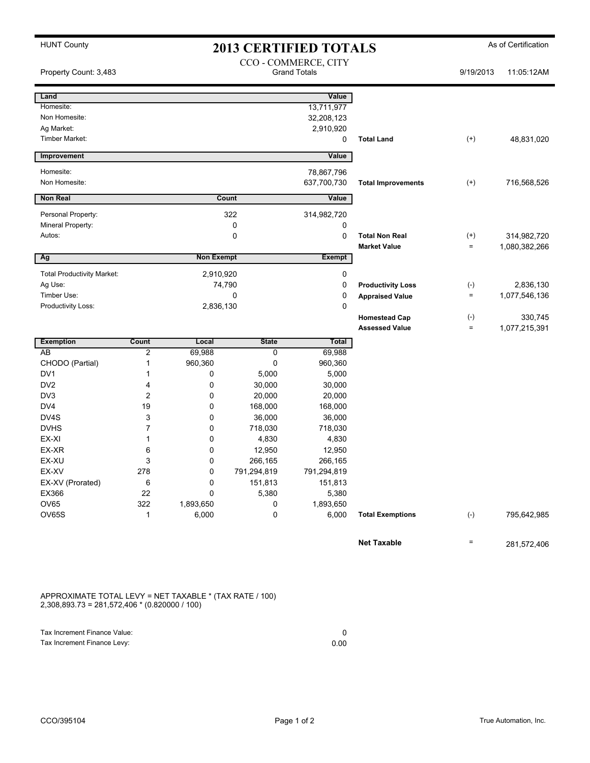## HUNT County **As of Certification 2013 CERTIFIED TOTALS** As of Certification

| Land<br>Homesite:<br>Non Homesite:                                                                         |                     |                                    |              |                   |                           |                   |               |
|------------------------------------------------------------------------------------------------------------|---------------------|------------------------------------|--------------|-------------------|---------------------------|-------------------|---------------|
|                                                                                                            |                     |                                    |              | Value             |                           |                   |               |
|                                                                                                            |                     |                                    |              | 13,711,977        |                           |                   |               |
|                                                                                                            |                     |                                    |              | 32,208,123        |                           |                   |               |
| Ag Market:                                                                                                 |                     |                                    |              | 2,910,920         |                           |                   |               |
| Timber Market:                                                                                             |                     |                                    |              | 0                 | <b>Total Land</b>         | $^{(+)}$          | 48,831,020    |
| Improvement                                                                                                |                     |                                    |              | Value             |                           |                   |               |
| Homesite:                                                                                                  |                     |                                    |              | 78,867,796        |                           |                   |               |
| Non Homesite:                                                                                              |                     |                                    |              | 637,700,730       | <b>Total Improvements</b> | $^{(+)}$          | 716,568,526   |
| Non Real                                                                                                   |                     |                                    | Count        | Value             |                           |                   |               |
|                                                                                                            |                     |                                    |              |                   |                           |                   |               |
| Personal Property:                                                                                         |                     |                                    | 322          | 314,982,720       |                           |                   |               |
| Mineral Property:                                                                                          |                     |                                    | 0            | 0                 |                           |                   |               |
| Autos:                                                                                                     |                     |                                    | 0            | $\mathbf 0$       | <b>Total Non Real</b>     | $^{(+)}$          | 314,982,720   |
| Ag                                                                                                         |                     | <b>Non Exempt</b><br><b>Exempt</b> |              |                   | <b>Market Value</b>       | $\equiv$          | 1,080,382,266 |
|                                                                                                            |                     |                                    |              |                   |                           |                   |               |
| <b>Total Productivity Market:</b>                                                                          |                     | 2,910,920                          |              | 0                 |                           |                   |               |
| Ag Use:                                                                                                    |                     |                                    | 74,790       | 0                 | <b>Productivity Loss</b>  | $(-)$             | 2,836,130     |
| Timber Use:                                                                                                |                     |                                    | 0            | 0                 | <b>Appraised Value</b>    | $\quad =$         | 1,077,546,136 |
| Productivity Loss:                                                                                         |                     | 2,836,130                          |              | 0                 |                           |                   |               |
|                                                                                                            |                     |                                    |              |                   | <b>Homestead Cap</b>      | $(-)$<br>$\equiv$ | 330,745       |
|                                                                                                            |                     |                                    |              |                   | <b>Assessed Value</b>     |                   | 1,077,215,391 |
| <b>Exemption</b>                                                                                           | Count               | Local                              | <b>State</b> | Total             |                           |                   |               |
| AB                                                                                                         | $\overline{2}$<br>1 | 69,988<br>960,360                  | 0<br>0       | 69,988<br>960,360 |                           |                   |               |
| CHODO (Partial)<br>DV1                                                                                     | 1                   | 0                                  | 5,000        |                   |                           |                   |               |
| DV <sub>2</sub>                                                                                            | 4                   | 0                                  | 30,000       | 5,000<br>30,000   |                           |                   |               |
| DV3                                                                                                        | $\overline{2}$      | 0                                  | 20,000       | 20,000            |                           |                   |               |
| DV4                                                                                                        | 19                  | 0                                  | 168,000      | 168,000           |                           |                   |               |
| DV4S                                                                                                       | 3                   | 0                                  | 36,000       | 36,000            |                           |                   |               |
| <b>DVHS</b>                                                                                                | 7                   | 0                                  | 718,030      | 718,030           |                           |                   |               |
| EX-XI                                                                                                      | 1                   | 0                                  | 4,830        | 4,830             |                           |                   |               |
| EX-XR                                                                                                      | 6                   | 0                                  | 12,950       | 12,950            |                           |                   |               |
| EX-XU                                                                                                      | 3                   | 0                                  | 266,165      | 266,165           |                           |                   |               |
| EX-XV                                                                                                      | 278                 | 0                                  | 791,294,819  | 791,294,819       |                           |                   |               |
| EX-XV (Prorated)                                                                                           | 6                   | 0                                  | 151,813      | 151,813           |                           |                   |               |
| EX366                                                                                                      | 22                  | 0                                  | 5,380        | 5,380             |                           |                   |               |
| OV65                                                                                                       | 322                 | 1,893,650                          | 0            | 1,893,650         |                           |                   |               |
| OV65S                                                                                                      | 1                   | 6,000                              | 0            | 6,000             | <b>Total Exemptions</b>   | $(-)$             | 795,642,985   |
|                                                                                                            |                     |                                    |              |                   |                           |                   |               |
|                                                                                                            |                     |                                    |              |                   | <b>Net Taxable</b>        | $\equiv$          | 281,572,406   |
| APPROXIMATE TOTAL LEVY = NET TAXABLE * (TAX RATE / 100)<br>$2,308,893.73 = 281,572,406 * (0.820000 / 100)$ |                     |                                    |              |                   |                           |                   |               |

Tax Increment Finance Value: 0<br>
Tax Increment Finance Levy: 0<br>
0.00 Tax Increment Finance Levy: